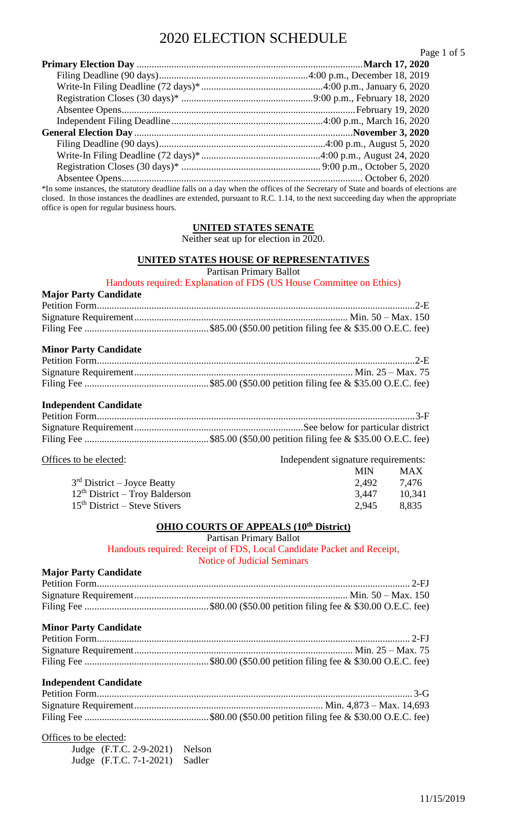|                                                                                                                                  | Page 1 of 5 |
|----------------------------------------------------------------------------------------------------------------------------------|-------------|
|                                                                                                                                  |             |
|                                                                                                                                  |             |
|                                                                                                                                  |             |
|                                                                                                                                  |             |
|                                                                                                                                  |             |
|                                                                                                                                  |             |
|                                                                                                                                  |             |
|                                                                                                                                  |             |
|                                                                                                                                  |             |
|                                                                                                                                  |             |
|                                                                                                                                  |             |
| *In some instances, the statutory deadline falls on a day when the offices of the Secretary of State and boards of elections are |             |
| closed. In those instances the deadlines are extended, pursuant to R.C. 1.14, to the next succeeding day when the appropriate    |             |

**UNITED STATES SENATE** Neither seat up for election in 2020.

#### **UNITED STATES HOUSE OF REPRESENTATIVES**

Partisan Primary Ballot

Handouts required: Explanation of FDS (US House Committee on Ethics)

### **Major Party Candidate** Petition Form................................................................................................................................2-E Signature Requirement...................................................................................... Min. 50 – Max. 150 Filing Fee ..................................................\$85.00 (\$50.00 petition filing fee & \$35.00 O.E.C. fee)

#### **Minor Party Candidate**

office is open for regular business hours.

#### **Independent Candidate**

Offices to be elected: Independent signature requirements:

|                                  | <b>MIN</b> | <b>MAX</b> |
|----------------------------------|------------|------------|
| $3rd$ District – Joyce Beatty    | 2.492      | 7.476      |
| $12th$ District – Troy Balderson | 3.447      | 10.341     |
| $15th$ District – Steve Stivers  | 2.945      | 8.835      |

#### **OHIO COURTS OF APPEALS (10th District)**

Partisan Primary Ballot

Handouts required: Receipt of FDS, Local Candidate Packet and Receipt, Notice of Judicial Seminars

# **Major Party Candidate**

### **Minor Party Candidate**

#### **Independent Candidate**

Offices to be elected:

| Judge (F.T.C. 2-9-2021) Nelson |  |
|--------------------------------|--|
| Judge (F.T.C. 7-1-2021) Sadler |  |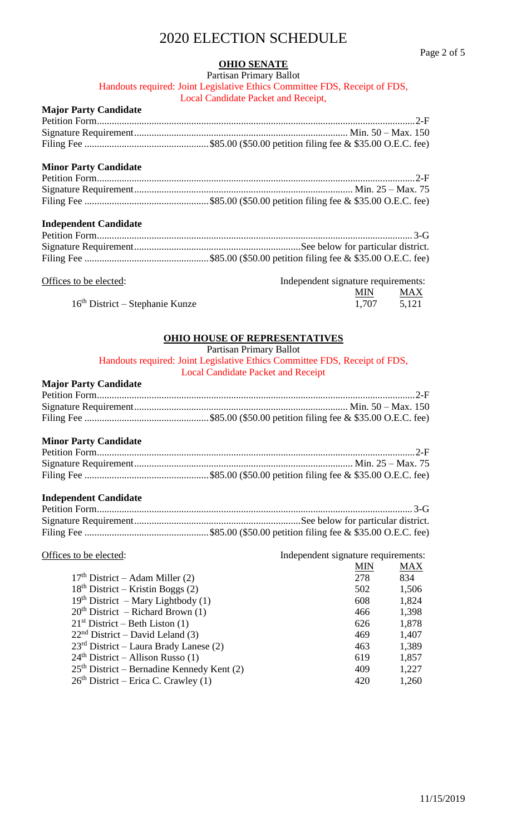# **OHIO SENATE**

Partisan Primary Ballot Handouts required: Joint Legislative Ethics Committee FDS, Receipt of FDS, Local Candidate Packet and Receipt,

# **Major Party Candidate**

### **Minor Party Candidate**

| <b>Independent Candidate</b> |  |
|------------------------------|--|
|                              |  |
|                              |  |
|                              |  |

| Offices to be elected:            | Independent signature requirements: |       |
|-----------------------------------|-------------------------------------|-------|
|                                   | <b>MIN</b>                          | MAX   |
| $16th$ District – Stephanie Kunze | 1.707                               | 5,121 |

# **OHIO HOUSE OF REPRESENTATIVES**

Partisan Primary Ballot Handouts required: Joint Legislative Ethics Committee FDS, Receipt of FDS, Local Candidate Packet and Receipt

#### **Major Party Candidate**

#### **Minor Party Candidate**

#### **Independent Candidate**

| Offices to be elected:                       | Independent signature requirements: |  |
|----------------------------------------------|-------------------------------------|--|
|                                              | MIN<br>MAX                          |  |
| $17th District – Adam Miller (2)$            | 278<br>834                          |  |
| $18th$ District – Kristin Boggs (2)          | 502<br>1,506                        |  |
| $19th$ District – Mary Lightbody (1)         | 1,824<br>608                        |  |
| $20th$ District – Richard Brown (1)          | 1,398<br>466                        |  |
| $21st$ District – Beth Liston (1)            | 1,878<br>626                        |  |
| $22nd$ District – David Leland (3)           | 1,407<br>469                        |  |
| $23rd$ District – Laura Brady Lanese (2)     | 1,389<br>463                        |  |
| $24th$ District – Allison Russo (1)          | 1,857<br>619                        |  |
| $25th$ District – Bernadine Kennedy Kent (2) | 1,227<br>409                        |  |
| $26th$ District – Erica C. Crawley (1)       | 1,260<br>420                        |  |
|                                              |                                     |  |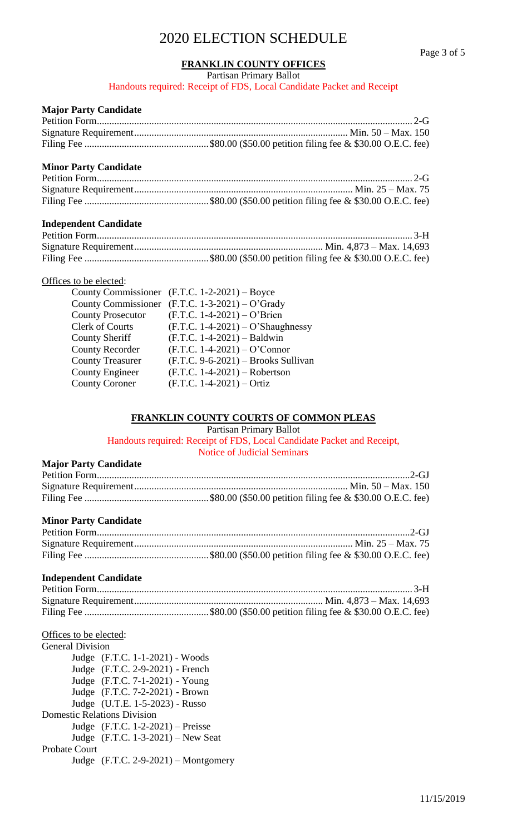#### **FRANKLIN COUNTY OFFICES**

Partisan Primary Ballot

Handouts required: Receipt of FDS, Local Candidate Packet and Receipt

#### **Major Party Candidate**

## **Minor Party Candidate**

### **Independent Candidate**

### Offices to be elected:

| <b>County Commissioner</b> | $(F.T.C. 1-2-2021) - Boyce$           |
|----------------------------|---------------------------------------|
| <b>County Commissioner</b> | $(F.T.C. 1-3-2021) - O'Grady$         |
| <b>County Prosecutor</b>   | $(F.T.C. 1-4-2021) - O'Brien$         |
| <b>Clerk of Courts</b>     | $(F.T.C. 1-4-2021) - O'Shaughnessy$   |
| <b>County Sheriff</b>      | $(F.T.C. 1-4-2021) - Baldwin$         |
| <b>County Recorder</b>     | $(F.T.C. 1-4-2021) - O'Connect$       |
| <b>County Treasurer</b>    | $(F.T.C. 9-6-2021) - Brooks$ Sullivan |
| <b>County Engineer</b>     | $(F.T.C. 1-4-2021) - Robertson$       |
| <b>County Coroner</b>      | $(F.T.C. 1-4-2021) - Ortiz$           |
|                            |                                       |

# **FRANKLIN COUNTY COURTS OF COMMON PLEAS**

Partisan Primary Ballot

Handouts required: Receipt of FDS, Local Candidate Packet and Receipt, Notice of Judicial Seminars

#### **Major Party Candidate**

# **Minor Party Candidate**

### **Independent Candidate**

### Offices to be elected:

| <b>General Division</b> |                                        |
|-------------------------|----------------------------------------|
|                         | Judge (F.T.C. 1-1-2021) - Woods        |
|                         | Judge (F.T.C. 2-9-2021) - French       |
|                         | Judge (F.T.C. 7-1-2021) - Young        |
|                         | Judge (F.T.C. 7-2-2021) - Brown        |
|                         | Judge (U.T.E. 1-5-2023) - Russo        |
|                         | <b>Domestic Relations Division</b>     |
|                         | Judge $(F.T.C. 1-2-2021)$ – Preisse    |
|                         | Judge $(F.T.C. 1-3-2021)$ – New Seat   |
| <b>Probate Court</b>    |                                        |
|                         | Judge $(F.T.C. 2-9-2021)$ – Montgomery |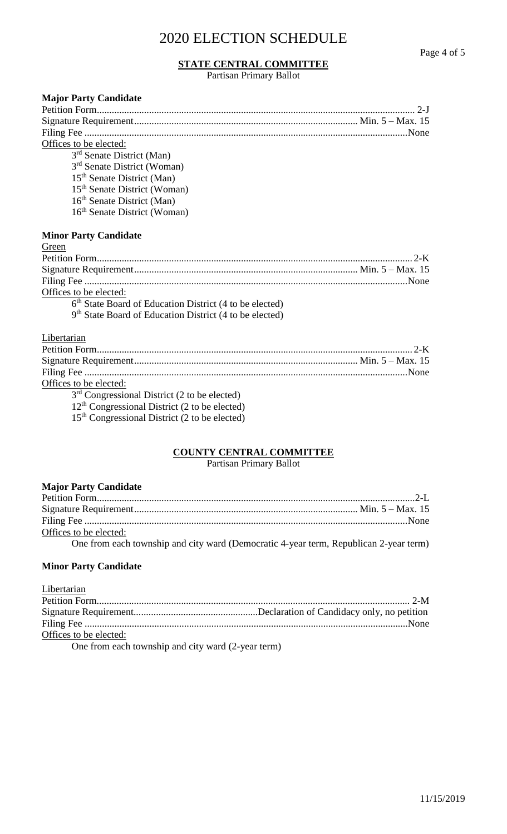### **STATE CENTRAL COMMITTEE**

Partisan Primary Ballot

| <b>Major Party Candidate</b>                                        |
|---------------------------------------------------------------------|
| $2-I$                                                               |
|                                                                     |
|                                                                     |
| Offices to be elected:                                              |
| 3 <sup>rd</sup> Senate District (Man)                               |
| 3 <sup>rd</sup> Senate District (Woman)                             |
| 15 <sup>th</sup> Senate District (Man)                              |
| 15 <sup>th</sup> Senate District (Woman)                            |
| 16 <sup>th</sup> Senate District (Man)                              |
| 16 <sup>th</sup> Senate District (Woman)                            |
| <b>Minor Party Candidate</b>                                        |
| Green                                                               |
| $2-K$                                                               |
|                                                                     |
|                                                                     |
| Offices to be elected:                                              |
| 6 <sup>th</sup> State Board of Education District (4 to be elected) |
| 9 <sup>th</sup> State Board of Education District (4 to be elected) |
| Libertarian                                                         |
| $2-K$                                                               |
|                                                                     |
|                                                                     |
| Offices to be elected:                                              |
| $3rd$ Congressional District (2 to be elected)                      |
| $12th$ Congressional District (2 to be elected)                     |
| $15th$ Congressional District (2 to be elected)                     |
|                                                                     |
|                                                                     |

# **COUNTY CENTRAL COMMITTEE**

Partisan Primary Ballot

| <b>Major Party Candidate</b>                                                                                                                                                                                                   |  |
|--------------------------------------------------------------------------------------------------------------------------------------------------------------------------------------------------------------------------------|--|
|                                                                                                                                                                                                                                |  |
|                                                                                                                                                                                                                                |  |
|                                                                                                                                                                                                                                |  |
| Offices to be elected:                                                                                                                                                                                                         |  |
| المناقصة والمتعاونة والمستنقص والمناقص والمستنقص والمناقص والمستنقص والمستنقص والمستنقص والمستنقص والمستنقص والمستنقص والمستنقص والمستنقص والمستنقص والمستنقص والمستنقص والمستنقص والمستنقص والمستنقص والمستنقص والمستنقص والم |  |

One from each township and city ward (Democratic 4-year term, Republican 2-year term)

# **Minor Party Candidate**

| Libertarian                                        |  |
|----------------------------------------------------|--|
|                                                    |  |
|                                                    |  |
|                                                    |  |
| Offices to be elected:                             |  |
| One from each township and gity word (2 year town) |  |

One from each township and city ward (2-year term)